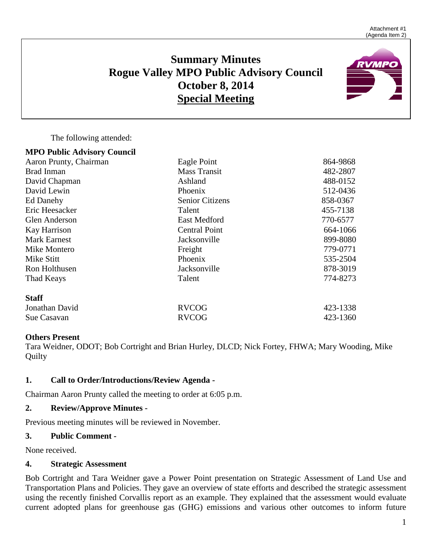# **Summary Minutes Rogue Valley MPO Public Advisory Council October 8, 2014 Special Meeting**



The following attended:

**MPO Public Advisory Council**

| Aaron Prunty, Chairman | Eagle Point            | 864-9868 |
|------------------------|------------------------|----------|
| Brad Inman             | <b>Mass Transit</b>    | 482-2807 |
| David Chapman          | Ashland                | 488-0152 |
| David Lewin            | Phoenix                | 512-0436 |
| Ed Danehy              | <b>Senior Citizens</b> | 858-0367 |
| Eric Heesacker         | Talent                 | 455-7138 |
| Glen Anderson          | <b>East Medford</b>    | 770-6577 |
| Kay Harrison           | <b>Central Point</b>   | 664-1066 |
| <b>Mark Earnest</b>    | Jacksonville           | 899-8080 |
| Mike Montero           | Freight                | 779-0771 |
| Mike Stitt             | Phoenix                | 535-2504 |
| Ron Holthusen          | Jacksonville           | 878-3019 |
| Thad Keays             | Talent                 | 774-8273 |
| <b>Staff</b>           |                        |          |
| Jonathan David         | <b>RVCOG</b>           | 423-1338 |
| Sue Casavan            | <b>RVCOG</b>           | 423-1360 |
|                        |                        |          |

## **Others Present**

Tara Weidner, ODOT; Bob Cortright and Brian Hurley, DLCD; Nick Fortey, FHWA; Mary Wooding, Mike Quilty

## **1. Call to Order/Introductions/Review Agenda -**

Chairman Aaron Prunty called the meeting to order at 6:05 p.m.

# **2. Review/Approve Minutes -**

Previous meeting minutes will be reviewed in November.

## **3. Public Comment -**

None received.

## **4. Strategic Assessment**

Bob Cortright and Tara Weidner gave a Power Point presentation on Strategic Assessment of Land Use and Transportation Plans and Policies. They gave an overview of state efforts and described the strategic assessment using the recently finished Corvallis report as an example. They explained that the assessment would evaluate current adopted plans for greenhouse gas (GHG) emissions and various other outcomes to inform future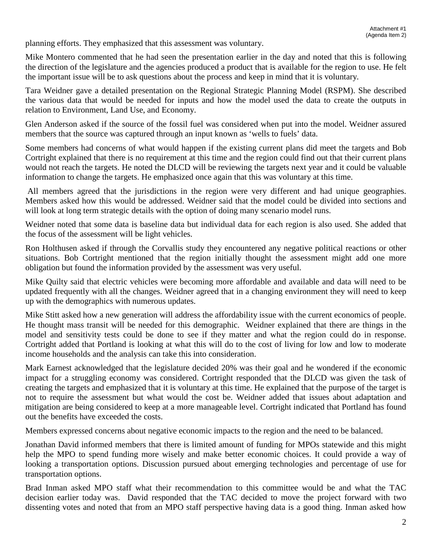planning efforts. They emphasized that this assessment was voluntary.

Mike Montero commented that he had seen the presentation earlier in the day and noted that this is following the direction of the legislature and the agencies produced a product that is available for the region to use. He felt the important issue will be to ask questions about the process and keep in mind that it is voluntary.

Tara Weidner gave a detailed presentation on the Regional Strategic Planning Model (RSPM). She described the various data that would be needed for inputs and how the model used the data to create the outputs in relation to Environment, Land Use, and Economy.

Glen Anderson asked if the source of the fossil fuel was considered when put into the model. Weidner assured members that the source was captured through an input known as 'wells to fuels' data.

Some members had concerns of what would happen if the existing current plans did meet the targets and Bob Cortright explained that there is no requirement at this time and the region could find out that their current plans would not reach the targets. He noted the DLCD will be reviewing the targets next year and it could be valuable information to change the targets. He emphasized once again that this was voluntary at this time.

All members agreed that the jurisdictions in the region were very different and had unique geographies. Members asked how this would be addressed. Weidner said that the model could be divided into sections and will look at long term strategic details with the option of doing many scenario model runs.

Weidner noted that some data is baseline data but individual data for each region is also used. She added that the focus of the assessment will be light vehicles.

Ron Holthusen asked if through the Corvallis study they encountered any negative political reactions or other situations. Bob Cortright mentioned that the region initially thought the assessment might add one more obligation but found the information provided by the assessment was very useful.

Mike Quilty said that electric vehicles were becoming more affordable and available and data will need to be updated frequently with all the changes. Weidner agreed that in a changing environment they will need to keep up with the demographics with numerous updates.

Mike Stitt asked how a new generation will address the affordability issue with the current economics of people. He thought mass transit will be needed for this demographic. Weidner explained that there are things in the model and sensitivity tests could be done to see if they matter and what the region could do in response. Cortright added that Portland is looking at what this will do to the cost of living for low and low to moderate income households and the analysis can take this into consideration.

Mark Earnest acknowledged that the legislature decided 20% was their goal and he wondered if the economic impact for a struggling economy was considered. Cortright responded that the DLCD was given the task of creating the targets and emphasized that it is voluntary at this time. He explained that the purpose of the target is not to require the assessment but what would the cost be. Weidner added that issues about adaptation and mitigation are being considered to keep at a more manageable level. Cortright indicated that Portland has found out the benefits have exceeded the costs.

Members expressed concerns about negative economic impacts to the region and the need to be balanced.

Jonathan David informed members that there is limited amount of funding for MPOs statewide and this might help the MPO to spend funding more wisely and make better economic choices. It could provide a way of looking a transportation options. Discussion pursued about emerging technologies and percentage of use for transportation options.

Brad Inman asked MPO staff what their recommendation to this committee would be and what the TAC decision earlier today was. David responded that the TAC decided to move the project forward with two dissenting votes and noted that from an MPO staff perspective having data is a good thing. Inman asked how